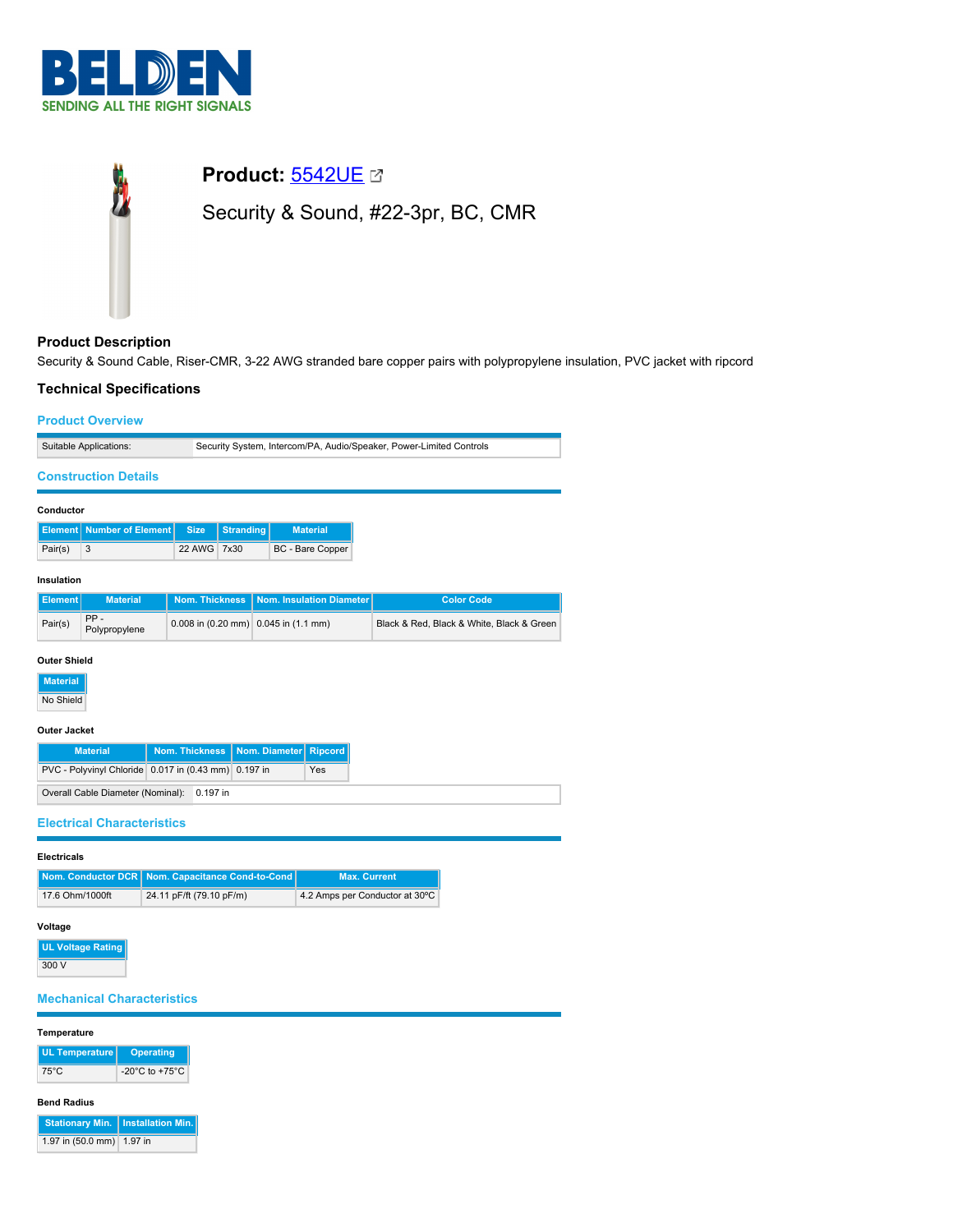



# **Product Description**

Security & Sound Cable, Riser-CMR, 3-22 AWG stranded bare copper pairs with polypropylene insulation, PVC jacket with ripcord

# **Technical Specifications**

| <b>Product Overview</b>      |                                      |                                                          |                                                                     |  |                                 |  |                                           |
|------------------------------|--------------------------------------|----------------------------------------------------------|---------------------------------------------------------------------|--|---------------------------------|--|-------------------------------------------|
| Suitable Applications:       |                                      |                                                          | Security System, Intercom/PA, Audio/Speaker, Power-Limited Controls |  |                                 |  |                                           |
| <b>Construction Details</b>  |                                      |                                                          |                                                                     |  |                                 |  |                                           |
| Conductor                    |                                      |                                                          |                                                                     |  |                                 |  |                                           |
|                              | <b>Element   Number of Element  </b> | <b>Size</b>                                              | <b>Stranding</b>                                                    |  | <b>Material</b>                 |  |                                           |
| Pair(s)                      | 3                                    | 22 AWG                                                   | 7x30                                                                |  | BC - Bare Copper                |  |                                           |
|                              | Insulation                           |                                                          |                                                                     |  |                                 |  |                                           |
| <b>Element</b>               | <b>Material</b>                      | <b>Nom. Thickness</b>                                    |                                                                     |  | <b>Nom. Insulation Diameter</b> |  | <b>Color Code</b>                         |
| Pair(s)                      | PP-<br>Polypropylene                 | 0.008 in $(0.20 \text{ mm})$ 0.045 in $(1.1 \text{ mm})$ |                                                                     |  |                                 |  | Black & Red, Black & White, Black & Green |
| <b>Outer Shield</b>          |                                      |                                                          |                                                                     |  |                                 |  |                                           |
| <b>Material</b><br>No Shield |                                      |                                                          |                                                                     |  |                                 |  |                                           |

#### **Outer Jacket**

| <b>Material</b>                                      | Nom. Thickness   Nom. Diameter   Ripcord |  |     |
|------------------------------------------------------|------------------------------------------|--|-----|
| PVC - Polyvinyl Chloride 0.017 in (0.43 mm) 0.197 in |                                          |  | Yes |
| Overall Cable Diameter (Nominal): 0.197 in           |                                          |  |     |

**Electrical Characteristics**

## **Electricals**

|                 | Nom. Conductor DCR   Nom. Capacitance Cond-to-Cond | <b>Max. Current</b>            |
|-----------------|----------------------------------------------------|--------------------------------|
| 17.6 Ohm/1000ft | 24.11 pF/ft (79.10 pF/m)                           | 4.2 Amps per Conductor at 30°C |

### **Voltage**

| <b>UL Voltage Rating</b> |
|--------------------------|
| 300 V                    |

# **Mechanical Characteristics**

## **Temperature**

| <b>UL Temperature</b> | <b>Operating</b>                     |
|-----------------------|--------------------------------------|
| 75°C                  | -20 $^{\circ}$ C to +75 $^{\circ}$ C |

# **Bend Radius**

|                           | Stationary Min.   Installation Min. |
|---------------------------|-------------------------------------|
| 1.97 in (50.0 mm) 1.97 in |                                     |